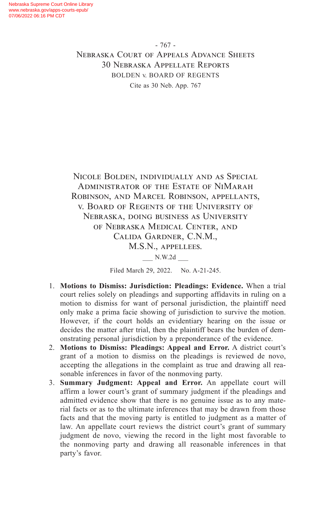Nicole Bolden, individually and as Special Administrator of the Estate of NiMarah Robinson, and Marcel Robinson, appellants, v. Board of Regents of the University of Nebraska, doing business as University of Nebraska Medical Center, and Calida Gardner, C.N.M., M.S.N., appellees. \_\_\_ N.W.2d \_\_\_

Filed March 29, 2022. No. A-21-245.

- 1. **Motions to Dismiss: Jurisdiction: Pleadings: Evidence.** When a trial court relies solely on pleadings and supporting affidavits in ruling on a motion to dismiss for want of personal jurisdiction, the plaintiff need only make a prima facie showing of jurisdiction to survive the motion. However, if the court holds an evidentiary hearing on the issue or decides the matter after trial, then the plaintiff bears the burden of demonstrating personal jurisdiction by a preponderance of the evidence.
- 2. **Motions to Dismiss: Pleadings: Appeal and Error.** A district court's grant of a motion to dismiss on the pleadings is reviewed de novo, accepting the allegations in the complaint as true and drawing all reasonable inferences in favor of the nonmoving party.
- 3. **Summary Judgment: Appeal and Error.** An appellate court will affirm a lower court's grant of summary judgment if the pleadings and admitted evidence show that there is no genuine issue as to any material facts or as to the ultimate inferences that may be drawn from those facts and that the moving party is entitled to judgment as a matter of law. An appellate court reviews the district court's grant of summary judgment de novo, viewing the record in the light most favorable to the nonmoving party and drawing all reasonable inferences in that party's favor.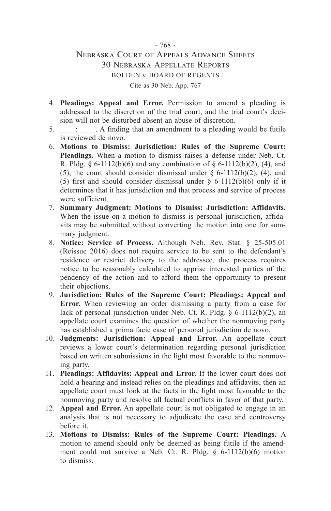- 4. **Pleadings: Appeal and Error.** Permission to amend a pleading is addressed to the discretion of the trial court, and the trial court's decision will not be disturbed absent an abuse of discretion.
- 5.  $\therefore$  A finding that an amendment to a pleading would be futile is reviewed de novo.
- 6. **Motions to Dismiss: Jurisdiction: Rules of the Supreme Court: Pleadings.** When a motion to dismiss raises a defense under Neb. Ct. R. Pldg. §  $6-1112(b)(6)$  and any combination of §  $6-1112(b)(2)$ , (4), and (5), the court should consider dismissal under  $\S$  6-1112(b)(2), (4), and (5) first and should consider dismissal under  $\S$  6-1112(b)(6) only if it determines that it has jurisdiction and that process and service of process were sufficient.
- 7. **Summary Judgment: Motions to Dismiss: Jurisdiction: Affidavits.** When the issue on a motion to dismiss is personal jurisdiction, affidavits may be submitted without converting the motion into one for summary judgment.
- 8. **Notice: Service of Process.** Although Neb. Rev. Stat. § 25-505.01 (Reissue 2016) does not require service to be sent to the defendant's residence or restrict delivery to the addressee, due process requires notice to be reasonably calculated to apprise interested parties of the pendency of the action and to afford them the opportunity to present their objections.
- 9. **Jurisdiction: Rules of the Supreme Court: Pleadings: Appeal and Error.** When reviewing an order dismissing a party from a case for lack of personal jurisdiction under Neb. Ct. R. Pldg. § 6-1112(b)(2), an appellate court examines the question of whether the nonmoving party has established a prima facie case of personal jurisdiction de novo.
- 10. **Judgments: Jurisdiction: Appeal and Error.** An appellate court reviews a lower court's determination regarding personal jurisdiction based on written submissions in the light most favorable to the nonmoving party.
- 11. **Pleadings: Affidavits: Appeal and Error.** If the lower court does not hold a hearing and instead relies on the pleadings and affidavits, then an appellate court must look at the facts in the light most favorable to the nonmoving party and resolve all factual conflicts in favor of that party.
- 12. **Appeal and Error.** An appellate court is not obligated to engage in an analysis that is not necessary to adjudicate the case and controversy before it.
- 13. **Motions to Dismiss: Rules of the Supreme Court: Pleadings.** A motion to amend should only be deemed as being futile if the amendment could not survive a Neb. Ct. R. Pldg. § 6-1112(b)(6) motion to dismiss.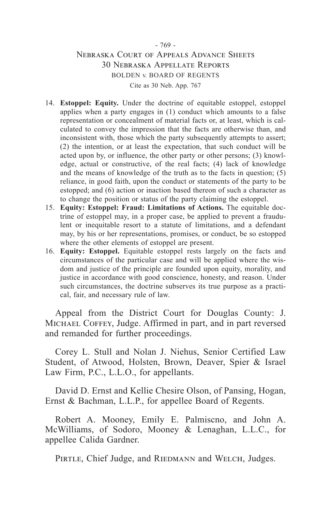#### - 769 -

#### Nebraska Court of Appeals Advance Sheets 30 Nebraska Appellate Reports BOLDEN v. BOARD OF REGENTS Cite as 30 Neb. App. 767

- 14. **Estoppel: Equity.** Under the doctrine of equitable estoppel, estoppel applies when a party engages in (1) conduct which amounts to a false representation or concealment of material facts or, at least, which is calculated to convey the impression that the facts are otherwise than, and inconsistent with, those which the party subsequently attempts to assert; (2) the intention, or at least the expectation, that such conduct will be acted upon by, or influence, the other party or other persons; (3) knowledge, actual or constructive, of the real facts; (4) lack of knowledge and the means of knowledge of the truth as to the facts in question; (5) reliance, in good faith, upon the conduct or statements of the party to be estopped; and (6) action or inaction based thereon of such a character as to change the position or status of the party claiming the estoppel.
- 15. **Equity: Estoppel: Fraud: Limitations of Actions.** The equitable doctrine of estoppel may, in a proper case, be applied to prevent a fraudulent or inequitable resort to a statute of limitations, and a defendant may, by his or her representations, promises, or conduct, be so estopped where the other elements of estoppel are present.
- 16. **Equity: Estoppel.** Equitable estoppel rests largely on the facts and circumstances of the particular case and will be applied where the wisdom and justice of the principle are founded upon equity, morality, and justice in accordance with good conscience, honesty, and reason. Under such circumstances, the doctrine subserves its true purpose as a practical, fair, and necessary rule of law.

Appeal from the District Court for Douglas County: J. MICHAEL COFFEY, Judge. Affirmed in part, and in part reversed and remanded for further proceedings.

Corey L. Stull and Nolan J. Niehus, Senior Certified Law Student, of Atwood, Holsten, Brown, Deaver, Spier & Israel Law Firm, P.C., L.L.O., for appellants.

David D. Ernst and Kellie Chesire Olson, of Pansing, Hogan, Ernst & Bachman, L.L.P., for appellee Board of Regents.

Robert A. Mooney, Emily E. Palmiscno, and John A. McWilliams, of Sodoro, Mooney & Lenaghan, L.L.C., for appellee Calida Gardner.

PIRTLE, Chief Judge, and RIEDMANN and WELCH, Judges.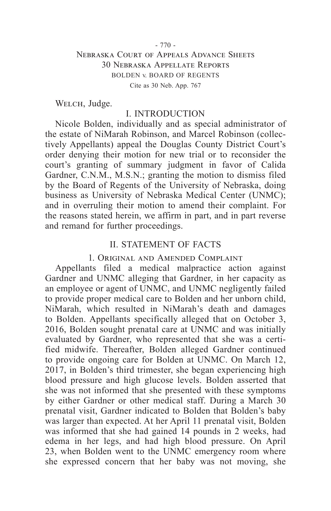WELCH, Judge.

### I. INTRODUCTION

Nicole Bolden, individually and as special administrator of the estate of NiMarah Robinson, and Marcel Robinson (collectively Appellants) appeal the Douglas County District Court's order denying their motion for new trial or to reconsider the court's granting of summary judgment in favor of Calida Gardner, C.N.M., M.S.N.; granting the motion to dismiss filed by the Board of Regents of the University of Nebraska, doing business as University of Nebraska Medical Center (UNMC); and in overruling their motion to amend their complaint. For the reasons stated herein, we affirm in part, and in part reverse and remand for further proceedings.

### II. STATEMENT OF FACTS

#### 1. Original and Amended Complaint

Appellants filed a medical malpractice action against Gardner and UNMC alleging that Gardner, in her capacity as an employee or agent of UNMC, and UNMC negligently failed to provide proper medical care to Bolden and her unborn child, NiMarah, which resulted in NiMarah's death and damages to Bolden. Appellants specifically alleged that on October 3, 2016, Bolden sought prenatal care at UNMC and was initially evaluated by Gardner, who represented that she was a certified midwife. Thereafter, Bolden alleged Gardner continued to provide ongoing care for Bolden at UNMC. On March 12, 2017, in Bolden's third trimester, she began experiencing high blood pressure and high glucose levels. Bolden asserted that she was not informed that she presented with these symptoms by either Gardner or other medical staff. During a March 30 prenatal visit, Gardner indicated to Bolden that Bolden's baby was larger than expected. At her April 11 prenatal visit, Bolden was informed that she had gained 14 pounds in 2 weeks, had edema in her legs, and had high blood pressure. On April 23, when Bolden went to the UNMC emergency room where she expressed concern that her baby was not moving, she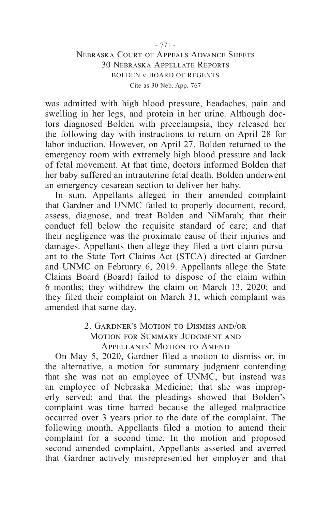was admitted with high blood pressure, headaches, pain and swelling in her legs, and protein in her urine. Although doctors diagnosed Bolden with preeclampsia, they released her the following day with instructions to return on April 28 for labor induction. However, on April 27, Bolden returned to the emergency room with extremely high blood pressure and lack of fetal movement. At that time, doctors informed Bolden that her baby suffered an intrauterine fetal death. Bolden underwent an emergency cesarean section to deliver her baby.

In sum, Appellants alleged in their amended complaint that Gardner and UNMC failed to properly document, record, assess, diagnose, and treat Bolden and NiMarah; that their conduct fell below the requisite standard of care; and that their negligence was the proximate cause of their injuries and damages. Appellants then allege they filed a tort claim pursuant to the State Tort Claims Act (STCA) directed at Gardner and UNMC on February 6, 2019. Appellants allege the State Claims Board (Board) failed to dispose of the claim within 6 months; they withdrew the claim on March 13, 2020; and they filed their complaint on March 31, which complaint was amended that same day.

### 2. Gardner's Motion to Dismiss and/or MOTION FOR SUMMARY JUDGMENT AND Appellants' Motion to Amend

On May 5, 2020, Gardner filed a motion to dismiss or, in the alternative, a motion for summary judgment contending that she was not an employee of UNMC, but instead was an employee of Nebraska Medicine; that she was improperly served; and that the pleadings showed that Bolden's complaint was time barred because the alleged malpractice occurred over 3 years prior to the date of the complaint. The following month, Appellants filed a motion to amend their complaint for a second time. In the motion and proposed second amended complaint, Appellants asserted and averred that Gardner actively misrepresented her employer and that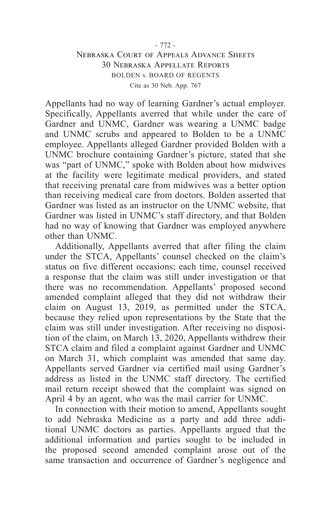Appellants had no way of learning Gardner's actual employer. Specifically, Appellants averred that while under the care of Gardner and UNMC, Gardner was wearing a UNMC badge and UNMC scrubs and appeared to Bolden to be a UNMC employee. Appellants alleged Gardner provided Bolden with a UNMC brochure containing Gardner's picture, stated that she was "part of UNMC," spoke with Bolden about how midwives at the facility were legitimate medical providers, and stated that receiving prenatal care from midwives was a better option than receiving medical care from doctors. Bolden asserted that Gardner was listed as an instructor on the UNMC website, that Gardner was listed in UNMC's staff directory, and that Bolden had no way of knowing that Gardner was employed anywhere other than UNMC.

Additionally, Appellants averred that after filing the claim under the STCA, Appellants' counsel checked on the claim's status on five different occasions; each time, counsel received a response that the claim was still under investigation or that there was no recommendation. Appellants' proposed second amended complaint alleged that they did not withdraw their claim on August 13, 2019, as permitted under the STCA, because they relied upon representations by the State that the claim was still under investigation. After receiving no disposition of the claim, on March 13, 2020, Appellants withdrew their STCA claim and filed a complaint against Gardner and UNMC on March 31, which complaint was amended that same day. Appellants served Gardner via certified mail using Gardner's address as listed in the UNMC staff directory. The certified mail return receipt showed that the complaint was signed on April 4 by an agent, who was the mail carrier for UNMC.

In connection with their motion to amend, Appellants sought to add Nebraska Medicine as a party and add three additional UNMC doctors as parties. Appellants argued that the additional information and parties sought to be included in the proposed second amended complaint arose out of the same transaction and occurrence of Gardner's negligence and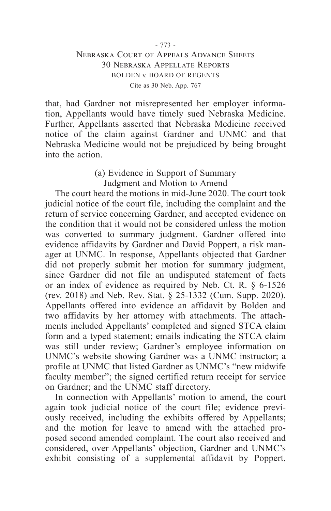that, had Gardner not misrepresented her employer information, Appellants would have timely sued Nebraska Medicine. Further, Appellants asserted that Nebraska Medicine received notice of the claim against Gardner and UNMC and that Nebraska Medicine would not be prejudiced by being brought into the action.

### (a) Evidence in Support of Summary Judgment and Motion to Amend

The court heard the motions in mid-June 2020. The court took judicial notice of the court file, including the complaint and the return of service concerning Gardner, and accepted evidence on the condition that it would not be considered unless the motion was converted to summary judgment. Gardner offered into evidence affidavits by Gardner and David Poppert, a risk manager at UNMC. In response, Appellants objected that Gardner did not properly submit her motion for summary judgment, since Gardner did not file an undisputed statement of facts or an index of evidence as required by Neb. Ct. R. § 6-1526 (rev. 2018) and Neb. Rev. Stat. § 25-1332 (Cum. Supp. 2020). Appellants offered into evidence an affidavit by Bolden and two affidavits by her attorney with attachments. The attachments included Appellants' completed and signed STCA claim form and a typed statement; emails indicating the STCA claim was still under review; Gardner's employee information on UNMC's website showing Gardner was a UNMC instructor; a profile at UNMC that listed Gardner as UNMC's "new midwife faculty member"; the signed certified return receipt for service on Gardner; and the UNMC staff directory.

In connection with Appellants' motion to amend, the court again took judicial notice of the court file; evidence previously received, including the exhibits offered by Appellants; and the motion for leave to amend with the attached proposed second amended complaint. The court also received and considered, over Appellants' objection, Gardner and UNMC's exhibit consisting of a supplemental affidavit by Poppert,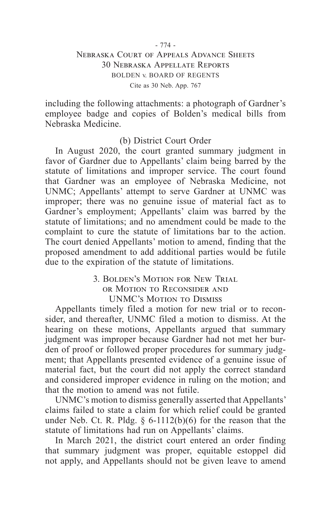including the following attachments: a photograph of Gardner's employee badge and copies of Bolden's medical bills from Nebraska Medicine.

### (b) District Court Order

In August 2020, the court granted summary judgment in favor of Gardner due to Appellants' claim being barred by the statute of limitations and improper service. The court found that Gardner was an employee of Nebraska Medicine, not UNMC; Appellants' attempt to serve Gardner at UNMC was improper; there was no genuine issue of material fact as to Gardner's employment; Appellants' claim was barred by the statute of limitations; and no amendment could be made to the complaint to cure the statute of limitations bar to the action. The court denied Appellants' motion to amend, finding that the proposed amendment to add additional parties would be futile due to the expiration of the statute of limitations.

> 3. Bolden's Motion for New Trial or Motion to Reconsider and UNMC's Motion to Dismiss

Appellants timely filed a motion for new trial or to reconsider, and thereafter, UNMC filed a motion to dismiss. At the hearing on these motions, Appellants argued that summary judgment was improper because Gardner had not met her burden of proof or followed proper procedures for summary judgment; that Appellants presented evidence of a genuine issue of material fact, but the court did not apply the correct standard and considered improper evidence in ruling on the motion; and that the motion to amend was not futile.

UNMC's motion to dismiss generally asserted that Appellants' claims failed to state a claim for which relief could be granted under Neb. Ct. R. Pldg.  $\S$  6-1112(b)(6) for the reason that the statute of limitations had run on Appellants' claims.

In March 2021, the district court entered an order finding that summary judgment was proper, equitable estoppel did not apply, and Appellants should not be given leave to amend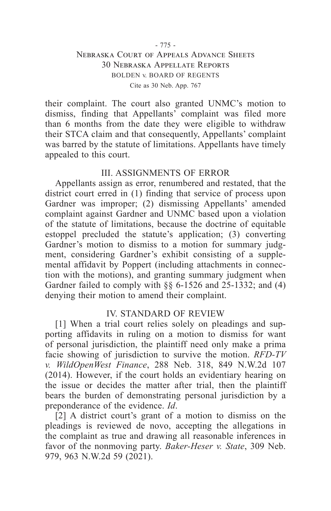their complaint. The court also granted UNMC's motion to dismiss, finding that Appellants' complaint was filed more than 6 months from the date they were eligible to withdraw their STCA claim and that consequently, Appellants' complaint was barred by the statute of limitations. Appellants have timely appealed to this court.

#### III. ASSIGNMENTS OF ERROR

Appellants assign as error, renumbered and restated, that the district court erred in (1) finding that service of process upon Gardner was improper; (2) dismissing Appellants' amended complaint against Gardner and UNMC based upon a violation of the statute of limitations, because the doctrine of equitable estoppel precluded the statute's application; (3) converting Gardner's motion to dismiss to a motion for summary judgment, considering Gardner's exhibit consisting of a supplemental affidavit by Poppert (including attachments in connection with the motions), and granting summary judgment when Gardner failed to comply with §§ 6-1526 and 25-1332; and (4) denying their motion to amend their complaint.

#### IV. STANDARD OF REVIEW

[1] When a trial court relies solely on pleadings and supporting affidavits in ruling on a motion to dismiss for want of personal jurisdiction, the plaintiff need only make a prima facie showing of jurisdiction to survive the motion. *RFD-TV v. WildOpenWest Finance*, 288 Neb. 318, 849 N.W.2d 107 (2014). However, if the court holds an evidentiary hearing on the issue or decides the matter after trial, then the plaintiff bears the burden of demonstrating personal jurisdiction by a preponderance of the evidence. *Id*.

[2] A district court's grant of a motion to dismiss on the pleadings is reviewed de novo, accepting the allegations in the complaint as true and drawing all reasonable inferences in favor of the nonmoving party. *Baker-Heser v. State*, 309 Neb. 979, 963 N.W.2d 59 (2021).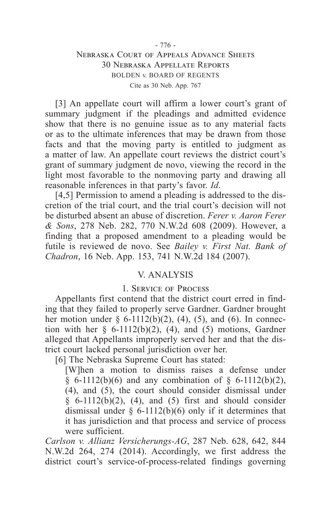[3] An appellate court will affirm a lower court's grant of summary judgment if the pleadings and admitted evidence show that there is no genuine issue as to any material facts or as to the ultimate inferences that may be drawn from those facts and that the moving party is entitled to judgment as a matter of law. An appellate court reviews the district court's grant of summary judgment de novo, viewing the record in the light most favorable to the nonmoving party and drawing all reasonable inferences in that party's favor. *Id*.

[4,5] Permission to amend a pleading is addressed to the discretion of the trial court, and the trial court's decision will not be disturbed absent an abuse of discretion. *Ferer v. Aaron Ferer & Sons*, 278 Neb. 282, 770 N.W.2d 608 (2009). However, a finding that a proposed amendment to a pleading would be futile is reviewed de novo. See *Bailey v. First Nat. Bank of Chadron*, 16 Neb. App. 153, 741 N.W.2d 184 (2007).

### V. ANALYSIS

#### 1. Service of Process

Appellants first contend that the district court erred in finding that they failed to properly serve Gardner. Gardner brought her motion under  $\S$  6-1112(b)(2), (4), (5), and (6). In connection with her  $\S$  6-1112(b)(2), (4), and (5) motions, Gardner alleged that Appellants improperly served her and that the district court lacked personal jurisdiction over her.

[6] The Nebraska Supreme Court has stated:

[W]hen a motion to dismiss raises a defense under § 6-1112(b)(6) and any combination of § 6-1112(b)(2), (4), and (5), the court should consider dismissal under  $§ 6-1112(b)(2), (4), and (5) first and should consider$ dismissal under  $\S$  6-1112(b)(6) only if it determines that it has jurisdiction and that process and service of process were sufficient.

*Carlson v. Allianz Versicherungs-AG*, 287 Neb. 628, 642, 844 N.W.2d 264, 274 (2014). Accordingly, we first address the district court's service-of-process-related findings governing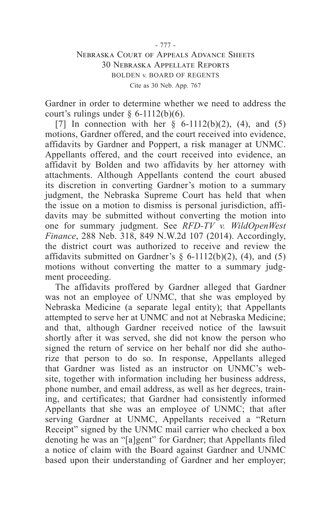Gardner in order to determine whether we need to address the court's rulings under  $§$  6-1112(b)(6).

[7] In connection with her  $\S$  6-1112(b)(2), (4), and (5) motions, Gardner offered, and the court received into evidence, affidavits by Gardner and Poppert, a risk manager at UNMC. Appellants offered, and the court received into evidence, an affidavit by Bolden and two affidavits by her attorney with attachments. Although Appellants contend the court abused its discretion in converting Gardner's motion to a summary judgment, the Nebraska Supreme Court has held that when the issue on a motion to dismiss is personal jurisdiction, affidavits may be submitted without converting the motion into one for summary judgment. See *RFD-TV v. WildOpenWest Finance*, 288 Neb. 318, 849 N.W.2d 107 (2014). Accordingly, the district court was authorized to receive and review the affidavits submitted on Gardner's  $\S$  6-1112(b)(2), (4), and (5) motions without converting the matter to a summary judgment proceeding.

The affidavits proffered by Gardner alleged that Gardner was not an employee of UNMC, that she was employed by Nebraska Medicine (a separate legal entity); that Appellants attempted to serve her at UNMC and not at Nebraska Medicine; and that, although Gardner received notice of the lawsuit shortly after it was served, she did not know the person who signed the return of service on her behalf nor did she authorize that person to do so. In response, Appellants alleged that Gardner was listed as an instructor on UNMC's website, together with information including her business address, phone number, and email address, as well as her degrees, training, and certificates; that Gardner had consistently informed Appellants that she was an employee of UNMC; that after serving Gardner at UNMC, Appellants received a "Return Receipt" signed by the UNMC mail carrier who checked a box denoting he was an "[a]gent" for Gardner; that Appellants filed a notice of claim with the Board against Gardner and UNMC based upon their understanding of Gardner and her employer;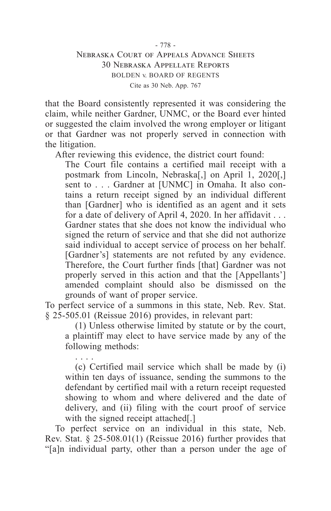that the Board consistently represented it was considering the claim, while neither Gardner, UNMC, or the Board ever hinted or suggested the claim involved the wrong employer or litigant or that Gardner was not properly served in connection with the litigation.

After reviewing this evidence, the district court found:

The Court file contains a certified mail receipt with a postmark from Lincoln, Nebraska[,] on April 1, 2020[,] sent to . . . Gardner at [UNMC] in Omaha. It also contains a return receipt signed by an individual different than [Gardner] who is identified as an agent and it sets for a date of delivery of April 4, 2020. In her affidavit . . . Gardner states that she does not know the individual who signed the return of service and that she did not authorize said individual to accept service of process on her behalf. [Gardner's] statements are not refuted by any evidence. Therefore, the Court further finds [that] Gardner was not properly served in this action and that the [Appellants'] amended complaint should also be dismissed on the grounds of want of proper service.

To perfect service of a summons in this state, Neb. Rev. Stat. § 25-505.01 (Reissue 2016) provides, in relevant part:

. . . .

(1) Unless otherwise limited by statute or by the court, a plaintiff may elect to have service made by any of the following methods:

(c) Certified mail service which shall be made by (i) within ten days of issuance, sending the summons to the defendant by certified mail with a return receipt requested showing to whom and where delivered and the date of delivery, and (ii) filing with the court proof of service with the signed receipt attached.

To perfect service on an individual in this state, Neb. Rev. Stat. § 25-508.01(1) (Reissue 2016) further provides that "[a]n individual party, other than a person under the age of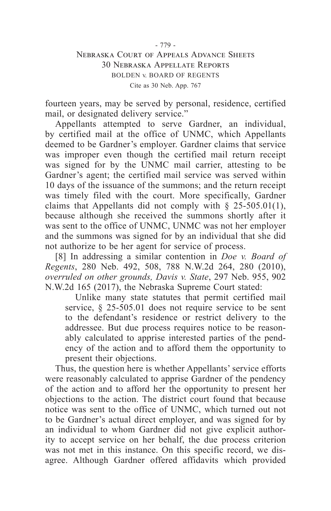fourteen years, may be served by personal, residence, certified mail, or designated delivery service."

Appellants attempted to serve Gardner, an individual, by certified mail at the office of UNMC, which Appellants deemed to be Gardner's employer. Gardner claims that service was improper even though the certified mail return receipt was signed for by the UNMC mail carrier, attesting to be Gardner's agent; the certified mail service was served within 10 days of the issuance of the summons; and the return receipt was timely filed with the court. More specifically, Gardner claims that Appellants did not comply with  $\S$  25-505.01(1), because although she received the summons shortly after it was sent to the office of UNMC, UNMC was not her employer and the summons was signed for by an individual that she did not authorize to be her agent for service of process.

[8] In addressing a similar contention in *Doe v. Board of Regents*, 280 Neb. 492, 508, 788 N.W.2d 264, 280 (2010), *overruled on other grounds, Davis v. State*, 297 Neb. 955, 902 N.W.2d 165 (2017), the Nebraska Supreme Court stated:

Unlike many state statutes that permit certified mail service, § 25-505.01 does not require service to be sent to the defendant's residence or restrict delivery to the addressee. But due process requires notice to be reasonably calculated to apprise interested parties of the pendency of the action and to afford them the opportunity to present their objections.

Thus, the question here is whether Appellants' service efforts were reasonably calculated to apprise Gardner of the pendency of the action and to afford her the opportunity to present her objections to the action. The district court found that because notice was sent to the office of UNMC, which turned out not to be Gardner's actual direct employer, and was signed for by an individual to whom Gardner did not give explicit authority to accept service on her behalf, the due process criterion was not met in this instance. On this specific record, we disagree. Although Gardner offered affidavits which provided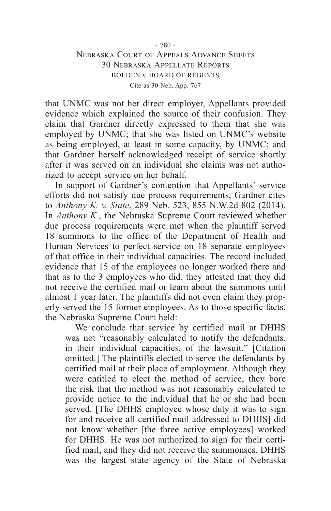that UNMC was not her direct employer, Appellants provided evidence which explained the source of their confusion. They claim that Gardner directly expressed to them that she was employed by UNMC; that she was listed on UNMC's website as being employed, at least in some capacity, by UNMC; and that Gardner herself acknowledged receipt of service shortly after it was served on an individual she claims was not authorized to accept service on her behalf.

In support of Gardner's contention that Appellants' service efforts did not satisfy due process requirements, Gardner cites to *Anthony K. v. State*, 289 Neb. 523, 855 N.W.2d 802 (2014). In *Anthony K.*, the Nebraska Supreme Court reviewed whether due process requirements were met when the plaintiff served 18 summons to the office of the Department of Health and Human Services to perfect service on 18 separate employees of that office in their individual capacities. The record included evidence that 15 of the employees no longer worked there and that as to the 3 employees who did, they attested that they did not receive the certified mail or learn about the summons until almost 1 year later. The plaintiffs did not even claim they properly served the 15 former employees. As to those specific facts, the Nebraska Supreme Court held:

We conclude that service by certified mail at DHHS was not "reasonably calculated to notify the defendants, in their individual capacities, of the lawsuit." [Citation omitted.] The plaintiffs elected to serve the defendants by certified mail at their place of employment. Although they were entitled to elect the method of service, they bore the risk that the method was not reasonably calculated to provide notice to the individual that he or she had been served. [The DHHS employee whose duty it was to sign for and receive all certified mail addressed to DHHS] did not know whether [the three active employees] worked for DHHS. He was not authorized to sign for their certified mail, and they did not receive the summonses. DHHS was the largest state agency of the State of Nebraska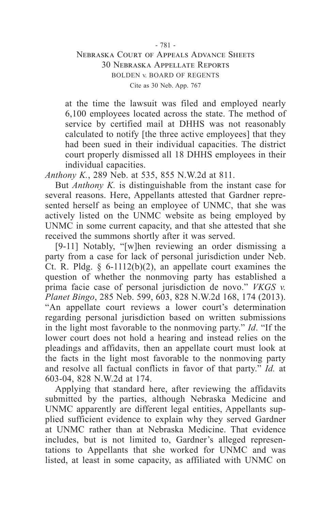at the time the lawsuit was filed and employed nearly 6,100 employees located across the state. The method of service by certified mail at DHHS was not reasonably calculated to notify [the three active employees] that they had been sued in their individual capacities. The district court properly dismissed all 18 DHHS employees in their individual capacities.

*Anthony K.*, 289 Neb. at 535, 855 N.W.2d at 811.

But *Anthony K.* is distinguishable from the instant case for several reasons. Here, Appellants attested that Gardner represented herself as being an employee of UNMC, that she was actively listed on the UNMC website as being employed by UNMC in some current capacity, and that she attested that she received the summons shortly after it was served.

[9-11] Notably, "[w]hen reviewing an order dismissing a party from a case for lack of personal jurisdiction under Neb. Ct. R. Pldg.  $\delta$  6-1112(b)(2), an appellate court examines the question of whether the nonmoving party has established a prima facie case of personal jurisdiction de novo." *VKGS v. Planet Bingo*, 285 Neb. 599, 603, 828 N.W.2d 168, 174 (2013). "An appellate court reviews a lower court's determination regarding personal jurisdiction based on written submissions in the light most favorable to the nonmoving party." *Id*. "If the lower court does not hold a hearing and instead relies on the pleadings and affidavits, then an appellate court must look at the facts in the light most favorable to the nonmoving party and resolve all factual conflicts in favor of that party." *Id.* at 603-04, 828 N.W.2d at 174.

Applying that standard here, after reviewing the affidavits submitted by the parties, although Nebraska Medicine and UNMC apparently are different legal entities, Appellants supplied sufficient evidence to explain why they served Gardner at UNMC rather than at Nebraska Medicine. That evidence includes, but is not limited to, Gardner's alleged representations to Appellants that she worked for UNMC and was listed, at least in some capacity, as affiliated with UNMC on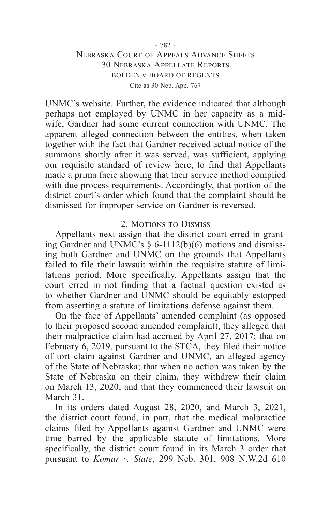UNMC's website. Further, the evidence indicated that although perhaps not employed by UNMC in her capacity as a midwife, Gardner had some current connection with UNMC. The apparent alleged connection between the entities, when taken together with the fact that Gardner received actual notice of the summons shortly after it was served, was sufficient, applying our requisite standard of review here, to find that Appellants made a prima facie showing that their service method complied with due process requirements. Accordingly, that portion of the district court's order which found that the complaint should be dismissed for improper service on Gardner is reversed.

### 2. MOTIONS TO DISMISS

Appellants next assign that the district court erred in granting Gardner and UNMC's § 6-1112(b)(6) motions and dismissing both Gardner and UNMC on the grounds that Appellants failed to file their lawsuit within the requisite statute of limitations period. More specifically, Appellants assign that the court erred in not finding that a factual question existed as to whether Gardner and UNMC should be equitably estopped from asserting a statute of limitations defense against them.

On the face of Appellants' amended complaint (as opposed to their proposed second amended complaint), they alleged that their malpractice claim had accrued by April 27, 2017; that on February 6, 2019, pursuant to the STCA, they filed their notice of tort claim against Gardner and UNMC, an alleged agency of the State of Nebraska; that when no action was taken by the State of Nebraska on their claim, they withdrew their claim on March 13, 2020; and that they commenced their lawsuit on March 31.

In its orders dated August 28, 2020, and March 3, 2021, the district court found, in part, that the medical malpractice claims filed by Appellants against Gardner and UNMC were time barred by the applicable statute of limitations. More specifically, the district court found in its March 3 order that pursuant to *Komar v. State*, 299 Neb. 301, 908 N.W.2d 610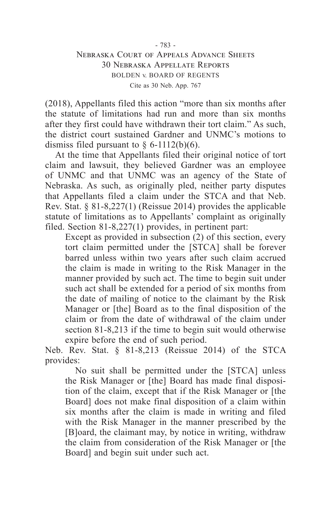(2018), Appellants filed this action "more than six months after the statute of limitations had run and more than six months after they first could have withdrawn their tort claim." As such, the district court sustained Gardner and UNMC's motions to dismiss filed pursuant to  $\S$  6-1112(b)(6).

At the time that Appellants filed their original notice of tort claim and lawsuit, they believed Gardner was an employee of UNMC and that UNMC was an agency of the State of Nebraska. As such, as originally pled, neither party disputes that Appellants filed a claim under the STCA and that Neb. Rev. Stat. § 81-8,227(1) (Reissue 2014) provides the applicable statute of limitations as to Appellants' complaint as originally filed. Section 81-8,227(1) provides, in pertinent part:

Except as provided in subsection  $(2)$  of this section, every tort claim permitted under the [STCA] shall be forever barred unless within two years after such claim accrued the claim is made in writing to the Risk Manager in the manner provided by such act. The time to begin suit under such act shall be extended for a period of six months from the date of mailing of notice to the claimant by the Risk Manager or [the] Board as to the final disposition of the claim or from the date of withdrawal of the claim under section 81-8,213 if the time to begin suit would otherwise expire before the end of such period.

Neb. Rev. Stat. § 81-8,213 (Reissue 2014) of the STCA provides:

No suit shall be permitted under the [STCA] unless the Risk Manager or [the] Board has made final disposition of the claim, except that if the Risk Manager or [the Board] does not make final disposition of a claim within six months after the claim is made in writing and filed with the Risk Manager in the manner prescribed by the [B]oard, the claimant may, by notice in writing, withdraw the claim from consideration of the Risk Manager or [the Board] and begin suit under such act.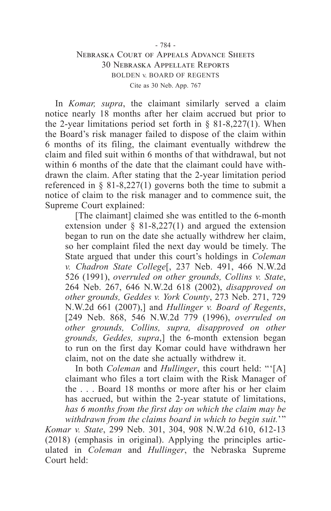In *Komar, supra*, the claimant similarly served a claim notice nearly 18 months after her claim accrued but prior to the 2-year limitations period set forth in  $\S$  81-8,227(1). When the Board's risk manager failed to dispose of the claim within 6 months of its filing, the claimant eventually withdrew the claim and filed suit within 6 months of that withdrawal, but not within 6 months of the date that the claimant could have withdrawn the claim. After stating that the 2-year limitation period referenced in  $\S$  81-8,227(1) governs both the time to submit a notice of claim to the risk manager and to commence suit, the Supreme Court explained:

[The claimant] claimed she was entitled to the 6-month extension under  $\S$  81-8,227(1) and argued the extension began to run on the date she actually withdrew her claim, so her complaint filed the next day would be timely. The State argued that under this court's holdings in *Coleman v. Chadron State College*[, 237 Neb. 491, 466 N.W.2d 526 (1991), *overruled on other grounds, Collins v. State*, 264 Neb. 267, 646 N.W.2d 618 (2002), *disapproved on other grounds, Geddes v. York County*, 273 Neb. 271, 729 N.W.2d 661 (2007),] and *Hullinger v. Board of Regents*, [249 Neb. 868, 546 N.W.2d 779 (1996), *overruled on other grounds, Collins, supra, disapproved on other grounds, Geddes, supra*,] the 6-month extension began to run on the first day Komar could have withdrawn her claim, not on the date she actually withdrew it.

In both *Coleman* and *Hullinger*, this court held: "'[A] claimant who files a tort claim with the Risk Manager of the . . . Board 18 months or more after his or her claim has accrued, but within the 2-year statute of limitations, *has 6 months from the first day on which the claim may be withdrawn from the claims board in which to begin suit.*'"

*Komar v. State*, 299 Neb. 301, 304, 908 N.W.2d 610, 612-13 (2018) (emphasis in original). Applying the principles articulated in *Coleman* and *Hullinger*, the Nebraska Supreme Court held: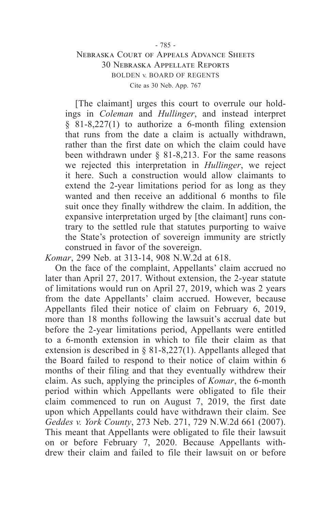[The claimant] urges this court to overrule our holdings in *Coleman* and *Hullinger*, and instead interpret § 81-8,227(1) to authorize a 6-month filing extension that runs from the date a claim is actually withdrawn, rather than the first date on which the claim could have been withdrawn under § 81-8,213. For the same reasons we rejected this interpretation in *Hullinger*, we reject it here. Such a construction would allow claimants to extend the 2-year limitations period for as long as they wanted and then receive an additional 6 months to file suit once they finally withdrew the claim. In addition, the expansive interpretation urged by [the claimant] runs contrary to the settled rule that statutes purporting to waive the State's protection of sovereign immunity are strictly construed in favor of the sovereign.

*Komar*, 299 Neb. at 313-14, 908 N.W.2d at 618.

On the face of the complaint, Appellants' claim accrued no later than April 27, 2017. Without extension, the 2-year statute of limitations would run on April 27, 2019, which was 2 years from the date Appellants' claim accrued. However, because Appellants filed their notice of claim on February 6, 2019, more than 18 months following the lawsuit's accrual date but before the 2-year limitations period, Appellants were entitled to a 6-month extension in which to file their claim as that extension is described in § 81-8,227(1). Appellants alleged that the Board failed to respond to their notice of claim within 6 months of their filing and that they eventually withdrew their claim. As such, applying the principles of *Komar*, the 6-month period within which Appellants were obligated to file their claim commenced to run on August 7,  $2019$ , the first date upon which Appellants could have withdrawn their claim. See *Geddes v. York County*, 273 Neb. 271, 729 N.W.2d 661 (2007). This meant that Appellants were obligated to file their lawsuit on or before February 7, 2020. Because Appellants withdrew their claim and failed to file their lawsuit on or before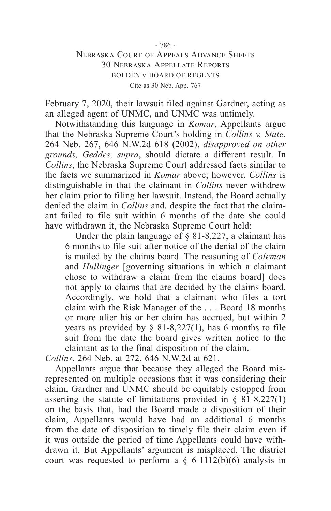February 7, 2020, their lawsuit filed against Gardner, acting as an alleged agent of UNMC, and UNMC was untimely.

Notwithstanding this language in *Komar*, Appellants argue that the Nebraska Supreme Court's holding in *Collins v. State*, 264 Neb. 267, 646 N.W.2d 618 (2002), *disapproved on other grounds, Geddes, supra*, should dictate a different result. In *Collins*, the Nebraska Supreme Court addressed facts similar to the facts we summarized in *Komar* above; however, *Collins* is distinguishable in that the claimant in *Collins* never withdrew her claim prior to filing her lawsuit. Instead, the Board actually denied the claim in *Collins* and, despite the fact that the claimant failed to file suit within 6 months of the date she could have withdrawn it, the Nebraska Supreme Court held:

Under the plain language of  $\S$  81-8,227, a claimant has 6 months to file suit after notice of the denial of the claim is mailed by the claims board. The reasoning of *Coleman* and *Hullinger* [governing situations in which a claimant chose to withdraw a claim from the claims board] does not apply to claims that are decided by the claims board. Accordingly, we hold that a claimant who files a tort claim with the Risk Manager of the . . . Board 18 months or more after his or her claim has accrued, but within 2 years as provided by  $\S$  81-8,227(1), has 6 months to file suit from the date the board gives written notice to the claimant as to the final disposition of the claim.

*Collins*, 264 Neb. at 272, 646 N.W.2d at 621.

Appellants argue that because they alleged the Board misrepresented on multiple occasions that it was considering their claim, Gardner and UNMC should be equitably estopped from asserting the statute of limitations provided in  $\S$  81-8,227(1) on the basis that, had the Board made a disposition of their claim, Appellants would have had an additional 6 months from the date of disposition to timely file their claim even if it was outside the period of time Appellants could have withdrawn it. But Appellants' argument is misplaced. The district court was requested to perform a  $\S$  6-1112(b)(6) analysis in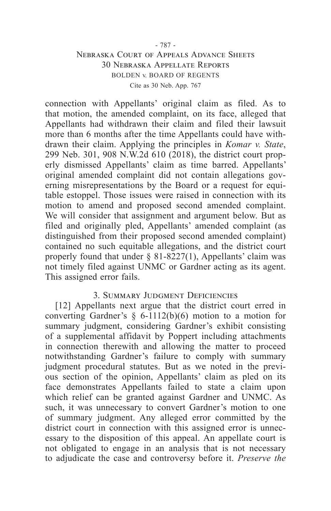connection with Appellants' original claim as filed. As to that motion, the amended complaint, on its face, alleged that Appellants had withdrawn their claim and filed their lawsuit more than 6 months after the time Appellants could have withdrawn their claim. Applying the principles in *Komar v. State*, 299 Neb. 301, 908 N.W.2d 610 (2018), the district court properly dismissed Appellants' claim as time barred. Appellants' original amended complaint did not contain allegations governing misrepresentations by the Board or a request for equitable estoppel. Those issues were raised in connection with its motion to amend and proposed second amended complaint. We will consider that assignment and argument below. But as filed and originally pled, Appellants' amended complaint (as distinguished from their proposed second amended complaint) contained no such equitable allegations, and the district court properly found that under  $\S$  81-8227(1), Appellants' claim was not timely filed against UNMC or Gardner acting as its agent. This assigned error fails.

### 3. Summary Judgment Deficiencies

[12] Appellants next argue that the district court erred in converting Gardner's  $\S$  6-1112(b)(6) motion to a motion for summary judgment, considering Gardner's exhibit consisting of a supplemental affidavit by Poppert including attachments in connection therewith and allowing the matter to proceed notwithstanding Gardner's failure to comply with summary judgment procedural statutes. But as we noted in the previous section of the opinion, Appellants' claim as pled on its face demonstrates Appellants failed to state a claim upon which relief can be granted against Gardner and UNMC. As such, it was unnecessary to convert Gardner's motion to one of summary judgment. Any alleged error committed by the district court in connection with this assigned error is unnecessary to the disposition of this appeal. An appellate court is not obligated to engage in an analysis that is not necessary to adjudicate the case and controversy before it. *Preserve the*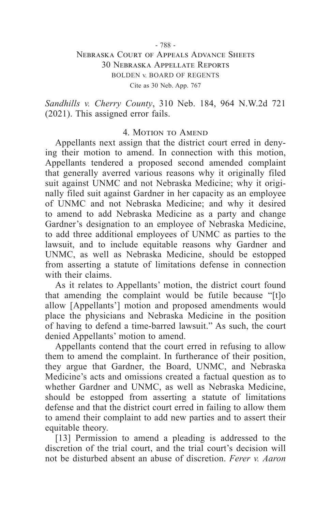#### - 788 -

### Nebraska Court of Appeals Advance Sheets 30 Nebraska Appellate Reports BOLDEN v. BOARD OF REGENTS Cite as 30 Neb. App. 767

*Sandhills v. Cherry County*, 310 Neb. 184, 964 N.W.2d 721 (2021). This assigned error fails.

#### 4. MOTION TO AMEND

Appellants next assign that the district court erred in denying their motion to amend. In connection with this motion, Appellants tendered a proposed second amended complaint that generally averred various reasons why it originally filed suit against UNMC and not Nebraska Medicine; why it originally filed suit against Gardner in her capacity as an employee of UNMC and not Nebraska Medicine; and why it desired to amend to add Nebraska Medicine as a party and change Gardner's designation to an employee of Nebraska Medicine, to add three additional employees of UNMC as parties to the lawsuit, and to include equitable reasons why Gardner and UNMC, as well as Nebraska Medicine, should be estopped from asserting a statute of limitations defense in connection with their claims.

As it relates to Appellants' motion, the district court found that amending the complaint would be futile because "[t]o allow [Appellants'] motion and proposed amendments would place the physicians and Nebraska Medicine in the position of having to defend a time-barred lawsuit." As such, the court denied Appellants' motion to amend.

Appellants contend that the court erred in refusing to allow them to amend the complaint. In furtherance of their position, they argue that Gardner, the Board, UNMC, and Nebraska Medicine's acts and omissions created a factual question as to whether Gardner and UNMC, as well as Nebraska Medicine, should be estopped from asserting a statute of limitations defense and that the district court erred in failing to allow them to amend their complaint to add new parties and to assert their equitable theory.

[13] Permission to amend a pleading is addressed to the discretion of the trial court, and the trial court's decision will not be disturbed absent an abuse of discretion. *Ferer v. Aaron*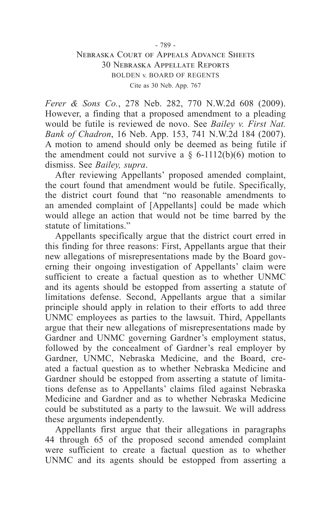*Ferer & Sons Co.*, 278 Neb. 282, 770 N.W.2d 608 (2009). However, a finding that a proposed amendment to a pleading would be futile is reviewed de novo. See *Bailey v. First Nat. Bank of Chadron*, 16 Neb. App. 153, 741 N.W.2d 184 (2007). A motion to amend should only be deemed as being futile if the amendment could not survive a  $\S$  6-1112(b)(6) motion to dismiss. See *Bailey, supra*.

After reviewing Appellants' proposed amended complaint, the court found that amendment would be futile. Specifically, the district court found that "no reasonable amendments to an amended complaint of [Appellants] could be made which would allege an action that would not be time barred by the statute of limitations."

Appellants specifically argue that the district court erred in this finding for three reasons: First, Appellants argue that their new allegations of misrepresentations made by the Board governing their ongoing investigation of Appellants' claim were sufficient to create a factual question as to whether UNMC and its agents should be estopped from asserting a statute of limitations defense. Second, Appellants argue that a similar principle should apply in relation to their efforts to add three UNMC employees as parties to the lawsuit. Third, Appellants argue that their new allegations of misrepresentations made by Gardner and UNMC governing Gardner's employment status, followed by the concealment of Gardner's real employer by Gardner, UNMC, Nebraska Medicine, and the Board, created a factual question as to whether Nebraska Medicine and Gardner should be estopped from asserting a statute of limitations defense as to Appellants' claims filed against Nebraska Medicine and Gardner and as to whether Nebraska Medicine could be substituted as a party to the lawsuit. We will address these arguments independently.

Appellants first argue that their allegations in paragraphs 44 through 65 of the proposed second amended complaint were sufficient to create a factual question as to whether UNMC and its agents should be estopped from asserting a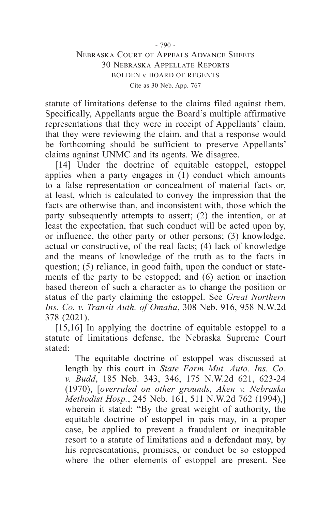statute of limitations defense to the claims filed against them. Specifically, Appellants argue the Board's multiple affirmative representations that they were in receipt of Appellants' claim, that they were reviewing the claim, and that a response would be forthcoming should be sufficient to preserve Appellants' claims against UNMC and its agents. We disagree.

[14] Under the doctrine of equitable estoppel, estoppel applies when a party engages in  $(1)$  conduct which amounts to a false representation or concealment of material facts or, at least, which is calculated to convey the impression that the facts are otherwise than, and inconsistent with, those which the party subsequently attempts to assert; (2) the intention, or at least the expectation, that such conduct will be acted upon by, or influence, the other party or other persons; (3) knowledge, actual or constructive, of the real facts; (4) lack of knowledge and the means of knowledge of the truth as to the facts in question; (5) reliance, in good faith, upon the conduct or statements of the party to be estopped; and (6) action or inaction based thereon of such a character as to change the position or status of the party claiming the estoppel. See *Great Northern Ins. Co. v. Transit Auth. of Omaha*, 308 Neb. 916, 958 N.W.2d 378 (2021).

[15,16] In applying the doctrine of equitable estoppel to a statute of limitations defense, the Nebraska Supreme Court stated:

The equitable doctrine of estoppel was discussed at length by this court in *State Farm Mut. Auto. Ins. Co. v. Budd*, 185 Neb. 343, 346, 175 N.W.2d 621, 623-24 (1970), [*overruled on other grounds, Aken v. Nebraska Methodist Hosp.*, 245 Neb. 161, 511 N.W.2d 762 (1994),] wherein it stated: "By the great weight of authority, the equitable doctrine of estoppel in pais may, in a proper case, be applied to prevent a fraudulent or inequitable resort to a statute of limitations and a defendant may, by his representations, promises, or conduct be so estopped where the other elements of estoppel are present. See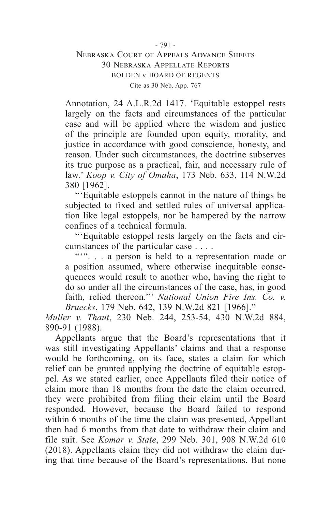Annotation, 24 A.L.R.2d 1417. 'Equitable estoppel rests largely on the facts and circumstances of the particular case and will be applied where the wisdom and justice of the principle are founded upon equity, morality, and justice in accordance with good conscience, honesty, and reason. Under such circumstances, the doctrine subserves its true purpose as a practical, fair, and necessary rule of law.' *Koop v. City of Omaha*, 173 Neb. 633, 114 N.W.2d 380 [1962].

"'Equitable estoppels cannot in the nature of things be subjected to fixed and settled rules of universal application like legal estoppels, nor be hampered by the narrow confines of a technical formula.

"'Equitable estoppel rests largely on the facts and circumstances of the particular case . . . .

""... a person is held to a representation made or a position assumed, where otherwise inequitable consequences would result to another who, having the right to do so under all the circumstances of the case, has, in good faith, relied thereon."' *National Union Fire Ins. Co. v. Bruecks*, 179 Neb. 642, 139 N.W.2d 821 [1966]."

*Muller v. Thaut*, 230 Neb. 244, 253-54, 430 N.W.2d 884, 890-91 (1988).

Appellants argue that the Board's representations that it was still investigating Appellants' claims and that a response would be forthcoming, on its face, states a claim for which relief can be granted applying the doctrine of equitable estoppel. As we stated earlier, once Appellants filed their notice of claim more than 18 months from the date the claim occurred, they were prohibited from filing their claim until the Board responded. However, because the Board failed to respond within 6 months of the time the claim was presented, Appellant then had 6 months from that date to withdraw their claim and file suit. See *Komar v. State*, 299 Neb. 301, 908 N.W.2d 610 (2018). Appellants claim they did not withdraw the claim during that time because of the Board's representations. But none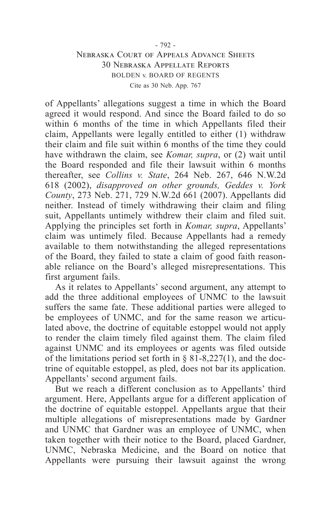of Appellants' allegations suggest a time in which the Board agreed it would respond. And since the Board failed to do so within 6 months of the time in which Appellants filed their claim, Appellants were legally entitled to either (1) withdraw their claim and file suit within 6 months of the time they could have withdrawn the claim, see *Komar, supra*, or (2) wait until the Board responded and file their lawsuit within 6 months thereafter, see *Collins v. State*, 264 Neb. 267, 646 N.W.2d 618 (2002), *disapproved on other grounds, Geddes v. York County*, 273 Neb. 271, 729 N.W.2d 661 (2007). Appellants did neither. Instead of timely withdrawing their claim and filing suit, Appellants untimely withdrew their claim and filed suit. Applying the principles set forth in *Komar, supra*, Appellants' claim was untimely filed. Because Appellants had a remedy available to them notwithstanding the alleged representations of the Board, they failed to state a claim of good faith reasonable reliance on the Board's alleged misrepresentations. This first argument fails.

As it relates to Appellants' second argument, any attempt to add the three additional employees of UNMC to the lawsuit suffers the same fate. These additional parties were alleged to be employees of UNMC, and for the same reason we articulated above, the doctrine of equitable estoppel would not apply to render the claim timely filed against them. The claim filed against UNMC and its employees or agents was filed outside of the limitations period set forth in § 81-8,227(1), and the doctrine of equitable estoppel, as pled, does not bar its application. Appellants' second argument fails.

But we reach a different conclusion as to Appellants' third argument. Here, Appellants argue for a different application of the doctrine of equitable estoppel. Appellants argue that their multiple allegations of misrepresentations made by Gardner and UNMC that Gardner was an employee of UNMC, when taken together with their notice to the Board, placed Gardner, UNMC, Nebraska Medicine, and the Board on notice that Appellants were pursuing their lawsuit against the wrong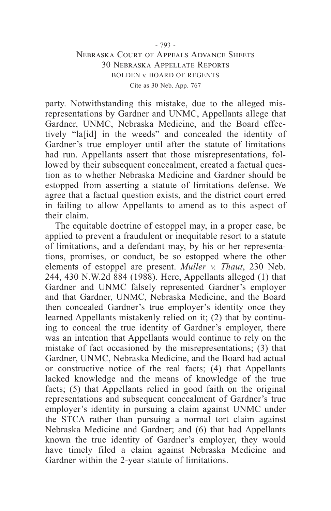party. Notwithstanding this mistake, due to the alleged misrepresentations by Gardner and UNMC, Appellants allege that Gardner, UNMC, Nebraska Medicine, and the Board effectively "la[id] in the weeds" and concealed the identity of Gardner's true employer until after the statute of limitations had run. Appellants assert that those misrepresentations, followed by their subsequent concealment, created a factual question as to whether Nebraska Medicine and Gardner should be estopped from asserting a statute of limitations defense. We agree that a factual question exists, and the district court erred in failing to allow Appellants to amend as to this aspect of their claim.

The equitable doctrine of estoppel may, in a proper case, be applied to prevent a fraudulent or inequitable resort to a statute of limitations, and a defendant may, by his or her representations, promises, or conduct, be so estopped where the other elements of estoppel are present. *Muller v. Thaut*, 230 Neb. 244, 430 N.W.2d 884 (1988). Here, Appellants alleged (1) that Gardner and UNMC falsely represented Gardner's employer and that Gardner, UNMC, Nebraska Medicine, and the Board then concealed Gardner's true employer's identity once they learned Appellants mistakenly relied on it; (2) that by continuing to conceal the true identity of Gardner's employer, there was an intention that Appellants would continue to rely on the mistake of fact occasioned by the misrepresentations; (3) that Gardner, UNMC, Nebraska Medicine, and the Board had actual or constructive notice of the real facts; (4) that Appellants lacked knowledge and the means of knowledge of the true facts; (5) that Appellants relied in good faith on the original representations and subsequent concealment of Gardner's true employer's identity in pursuing a claim against UNMC under the STCA rather than pursuing a normal tort claim against Nebraska Medicine and Gardner; and (6) that had Appellants known the true identity of Gardner's employer, they would have timely filed a claim against Nebraska Medicine and Gardner within the 2-year statute of limitations.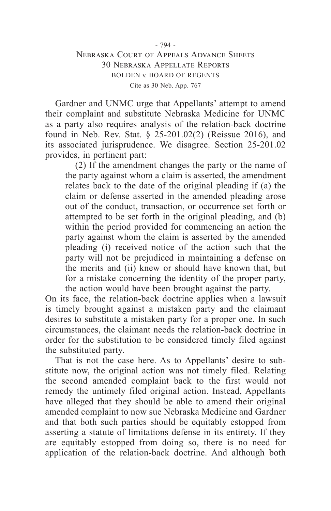Gardner and UNMC urge that Appellants' attempt to amend their complaint and substitute Nebraska Medicine for UNMC as a party also requires analysis of the relation-back doctrine found in Neb. Rev. Stat. § 25-201.02(2) (Reissue 2016), and its associated jurisprudence. We disagree. Section 25-201.02 provides, in pertinent part:

(2) If the amendment changes the party or the name of the party against whom a claim is asserted, the amendment relates back to the date of the original pleading if (a) the claim or defense asserted in the amended pleading arose out of the conduct, transaction, or occurrence set forth or attempted to be set forth in the original pleading, and (b) within the period provided for commencing an action the party against whom the claim is asserted by the amended pleading (i) received notice of the action such that the party will not be prejudiced in maintaining a defense on the merits and (ii) knew or should have known that, but for a mistake concerning the identity of the proper party, the action would have been brought against the party.

On its face, the relation-back doctrine applies when a lawsuit is timely brought against a mistaken party and the claimant desires to substitute a mistaken party for a proper one. In such circumstances, the claimant needs the relation-back doctrine in order for the substitution to be considered timely filed against the substituted party.

That is not the case here. As to Appellants' desire to substitute now, the original action was not timely filed. Relating the second amended complaint back to the first would not remedy the untimely filed original action. Instead, Appellants have alleged that they should be able to amend their original amended complaint to now sue Nebraska Medicine and Gardner and that both such parties should be equitably estopped from asserting a statute of limitations defense in its entirety. If they are equitably estopped from doing so, there is no need for application of the relation-back doctrine. And although both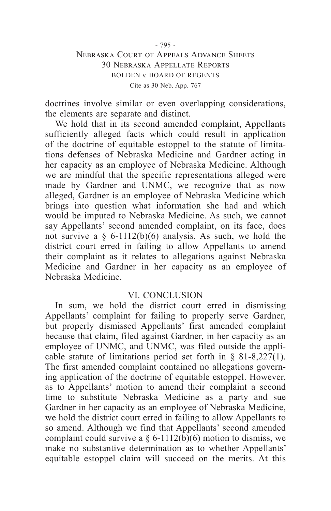doctrines involve similar or even overlapping considerations, the elements are separate and distinct.

We hold that in its second amended complaint, Appellants sufficiently alleged facts which could result in application of the doctrine of equitable estoppel to the statute of limitations defenses of Nebraska Medicine and Gardner acting in her capacity as an employee of Nebraska Medicine. Although we are mindful that the specific representations alleged were made by Gardner and UNMC, we recognize that as now alleged, Gardner is an employee of Nebraska Medicine which brings into question what information she had and which would be imputed to Nebraska Medicine. As such, we cannot say Appellants' second amended complaint, on its face, does not survive a  $\S$  6-1112(b)(6) analysis. As such, we hold the district court erred in failing to allow Appellants to amend their complaint as it relates to allegations against Nebraska Medicine and Gardner in her capacity as an employee of Nebraska Medicine.

### VI. CONCLUSION

In sum, we hold the district court erred in dismissing Appellants' complaint for failing to properly serve Gardner, but properly dismissed Appellants' first amended complaint because that claim, filed against Gardner, in her capacity as an employee of UNMC, and UNMC, was filed outside the applicable statute of limitations period set forth in § 81-8,227(1). The first amended complaint contained no allegations governing application of the doctrine of equitable estoppel. However, as to Appellants' motion to amend their complaint a second time to substitute Nebraska Medicine as a party and sue Gardner in her capacity as an employee of Nebraska Medicine, we hold the district court erred in failing to allow Appellants to so amend. Although we find that Appellants' second amended complaint could survive a  $\S 6$ -1112(b)(6) motion to dismiss, we make no substantive determination as to whether Appellants' equitable estoppel claim will succeed on the merits. At this